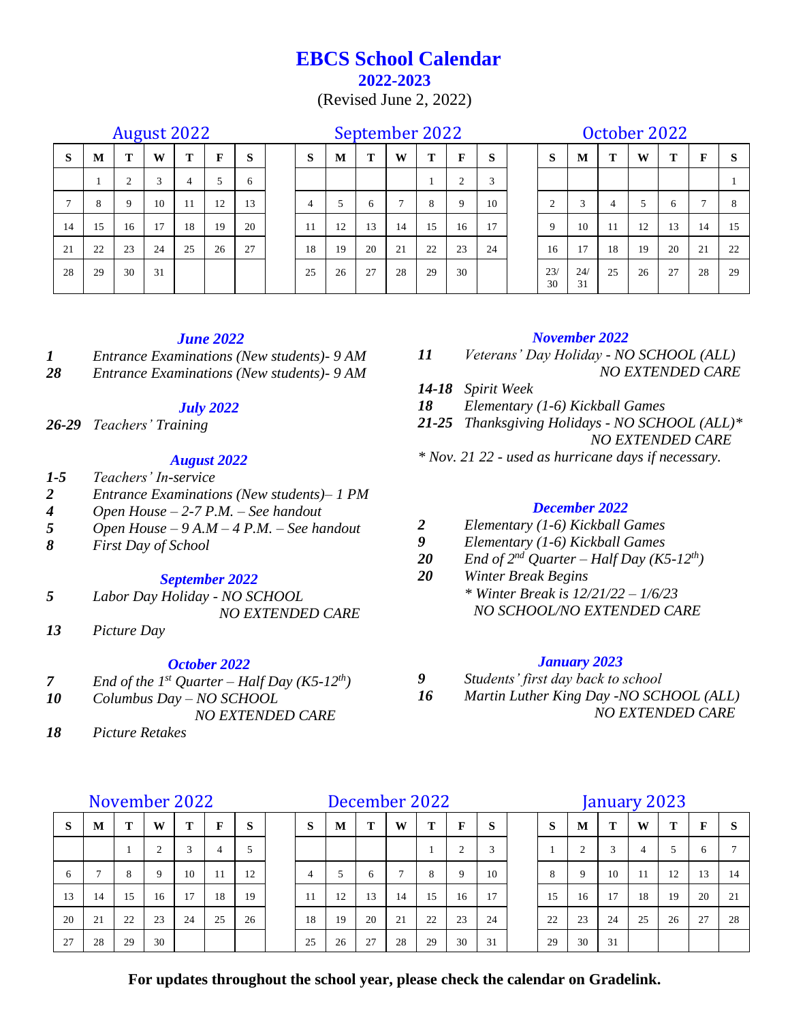# **EBCS School Calendar 2022-2023**

(Revised June 2, 2022)

### August 2022 September 2022 October 2022

| ັ  |             |            |    |                |    |    |  |  |  |  |  |  |  |
|----|-------------|------------|----|----------------|----|----|--|--|--|--|--|--|--|
| S  | $\mathbf M$ | Т          | W  | Т              | F  | S  |  |  |  |  |  |  |  |
|    | 1           | $\sqrt{2}$ | 3  | $\overline{4}$ | 5  | 6  |  |  |  |  |  |  |  |
| 7  | 8           | 9          | 10 | 11             | 12 | 13 |  |  |  |  |  |  |  |
| 14 | 15          | 16         | 17 | 18             | 19 | 20 |  |  |  |  |  |  |  |
| 21 | 22          | 23         | 24 | 25             | 26 | 27 |  |  |  |  |  |  |  |
| 28 | 29          | 30         | 31 |                |    |    |  |  |  |  |  |  |  |
|    |             |            |    |                |    |    |  |  |  |  |  |  |  |

| S      | M  | Т  | W  | T  | F  | S  | S              | M  | T  | W  | T  | F        | S  | S         | M         | Т              | W  | Т  | $\mathbf F$ | - S |
|--------|----|----|----|----|----|----|----------------|----|----|----|----|----------|----|-----------|-----------|----------------|----|----|-------------|-----|
|        |    | 2  | 3  | 4  | 5  | 6  |                |    |    |    |    | $\gamma$ | 3  |           |           |                |    |    |             |     |
| $\tau$ | 8  | 9  | 10 | 11 | 12 | 13 | $\overline{4}$ | 5  | 6  | 7  | 8  | 9        | 10 | 2         | 3         | $\overline{4}$ | 5  | 6  |             | 8   |
| 14     | 15 | 16 | 17 | 18 | 19 | 20 | 11             | 12 | 13 | 14 | 15 | 16       | 17 | 9         | 10        | -11            | 12 | 13 | 14          | 15  |
| 21     | 22 | 23 | 24 | 25 | 26 | 27 | 18             | 19 | 20 | 21 | 22 | 23       | 24 | 16        | 17        | 18             | 19 | 20 | 21          | 22  |
| 28     | 29 | 30 | 31 |    |    |    | 25             | 26 | 27 | 28 | 29 | 30       |    | 23/<br>30 | 24/<br>31 | 25             | 26 | 27 | 28          | 29  |

# 30 24/ 31 25 26 27 28 29

### *June 2022*

*1 Entrance Examinations (New students)- 9 AM*

*28 Entrance Examinations (New students)- 9 AM*

### *July 2022*

*26-29 Teachers' Training*

#### *August 2022*

- *1-5 Teachers' In-service*
- *2 Entrance Examinations (New students)– 1 PM*
- *4 Open House – 2-7 P.M. – See handout*
- *5 Open House – 9 A.M – 4 P.M. – See handout*
- *8 First Day of School*

#### *September 2022*

- *5 Labor Day Holiday - NO SCHOOL NO EXTENDED CARE*
- *13 Picture Day*

### *October 2022*

- *7 End of the 1<sup>st</sup> Quarter Half Day (K5-12<sup><i>th*</sup>)</sub>
- *10 Columbus Day – NO SCHOOL NO EXTENDED CARE*
- *18 Picture Retakes*

# November 2022 December 2022 January 2023

| S  | M             | T  | W              | T  | F  | S  | -S             | M  | Т  | W  | T  | $\mathbf{F}$ | S  | S  | M  | Т  | W  | т  | $\mathbf F$ | S  |
|----|---------------|----|----------------|----|----|----|----------------|----|----|----|----|--------------|----|----|----|----|----|----|-------------|----|
|    |               |    | $\overline{2}$ | 3  | 4  | 5  |                |    |    |    |    |              | 3  |    | 2  | 3  | 4  | -5 | 6           |    |
| 6  | $\mathcal{I}$ | 8  | -9             | 10 | 11 | 12 | $\overline{4}$ | 5  | 6  |    | 8  | 9            | 10 | 8  | -9 | 10 | 11 | 12 | 13          | 14 |
| 13 | 14            | 15 | 16             | 17 | 18 | 19 | -11            | 12 | 13 | 14 | 15 | 16           | 17 | 15 | 16 | 17 | 18 | 19 | 20          | 21 |
| 20 | 21            | 22 | 23             | 24 | 25 | 26 | 18             | 19 | 20 | 21 | 22 | 23           | 24 | 22 | 23 | 24 | 25 | 26 | 27          | 28 |
| 27 | 28            | 29 | 30             |    |    |    | 25             | 26 | 27 | 28 | 29 | 30           | 31 | 29 | 30 | 31 |    |    |             |    |

### **For updates throughout the school year, please check the calendar on Gradelink.**

#### *November 2022*

- *11 Veterans' Day Holiday - NO SCHOOL (ALL) NO EXTENDED CARE*
- *14-18 Spirit Week*
- *18 Elementary (1-6) Kickball Games*
- *21-25 Thanksgiving Holidays - NO SCHOOL (ALL)\* NO EXTENDED CARE*
- *\* Nov. 21 22 - used as hurricane days if necessary.*

### *December 2022*

- *2 Elementary (1-6) Kickball Games*
- *9 Elementary (1-6) Kickball Games*
- 20 *End of 2<sup>nd</sup> Quarter Half Day* (K5-12<sup>*th*</sup>)</sub>
- *20 Winter Break Begins \* Winter Break is 12/21/22 – 1/6/23 NO SCHOOL/NO EXTENDED CARE*

#### *January 2023*

- *9 Students' first day back to school*
- *16 Martin Luther King Day -NO SCHOOL (ALL) NO EXTENDED CARE*